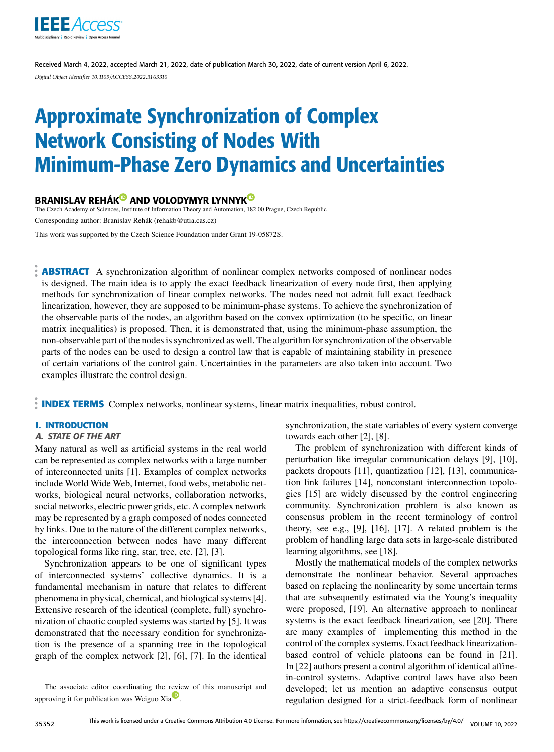

Received March 4, 2022, accepted March 21, 2022, date of publication March 30, 2022, date of current version April 6, 2022. *Digital Object Identifier 10.1109/ACCESS.2022.3163310*

# Approximate Synchronization of Complex Network Consisting of Nodes With Minimum-Phase Zero Dynamics and Uncertainties

# BRANISLAV REHÁ[K](https://orcid.org/0000-0002-6793-5324)<sup>®</sup> AND VOLODYMYR LYNNYK<sup>®</sup>

The Czech Academy of Sciences, Institute of Information Theory and Automation, 182 00 Prague, Czech Republic Corresponding author: Branislav Rehák (rehakb@utia.cas.cz)

This work was supported by the Czech Science Foundation under Grant 19-05872S.

**ABSTRACT** A synchronization algorithm of nonlinear complex networks composed of nonlinear nodes is designed. The main idea is to apply the exact feedback linearization of every node first, then applying methods for synchronization of linear complex networks. The nodes need not admit full exact feedback linearization, however, they are supposed to be minimum-phase systems. To achieve the synchronization of the observable parts of the nodes, an algorithm based on the convex optimization (to be specific, on linear matrix inequalities) is proposed. Then, it is demonstrated that, using the minimum-phase assumption, the non-observable part of the nodes is synchronized as well. The algorithm for synchronization of the observable parts of the nodes can be used to design a control law that is capable of maintaining stability in presence of certain variations of the control gain. Uncertainties in the parameters are also taken into account. Two examples illustrate the control design.

**INDEX TERMS** Complex networks, nonlinear systems, linear matrix inequalities, robust control.

# **I. INTRODUCTION**

#### A. STATE OF THE ART

Many natural as well as artificial systems in the real world can be represented as complex networks with a large number of interconnected units [1]. Examples of complex networks include World Wide Web, Internet, food webs, metabolic networks, biological neural networks, collaboration networks, social networks, electric power grids, etc. A complex network may be represented by a graph composed of nodes connected by links. Due to the nature of the different complex networks, the interconnection between nodes have many different topological forms like ring, star, tree, etc. [2], [3].

Synchronization appears to be one of significant types of interconnected systems' collective dynamics. It is a fundamental mechanism in nature that relates to different phenomena in physical, chemical, and biological systems [4]. Extensive research of the identical (complete, full) synchronization of chaotic coupled systems was started by [5]. It was demonstrated that the necessary condition for synchronization is the presence of a spanning tree in the topological graph of the complex network [2], [6], [7]. In the identical

The associate editor coordinating the review of this manuscript and [a](https://orcid.org/0000-0002-9970-7684)pproving it for publication was Weiguo Xia

synchronization, the state variables of every system converge towards each other [2], [8].

The problem of synchronization with different kinds of perturbation like irregular communication delays [9], [10], packets dropouts [11], quantization [12], [13], communication link failures [14], nonconstant interconnection topologies [15] are widely discussed by the control engineering community. Synchronization problem is also known as consensus problem in the recent terminology of control theory, see e.g., [9], [16], [17]. A related problem is the problem of handling large data sets in large-scale distributed learning algorithms, see [18].

Mostly the mathematical models of the complex networks demonstrate the nonlinear behavior. Several approaches based on replacing the nonlinearity by some uncertain terms that are subsequently estimated via the Young's inequality were proposed, [19]. An alternative approach to nonlinear systems is the exact feedback linearization, see [20]. There are many examples of implementing this method in the control of the complex systems. Exact feedback linearizationbased control of vehicle platoons can be found in [21]. In [22] authors present a control algorithm of identical affinein-control systems. Adaptive control laws have also been developed; let us mention an adaptive consensus output regulation designed for a strict-feedback form of nonlinear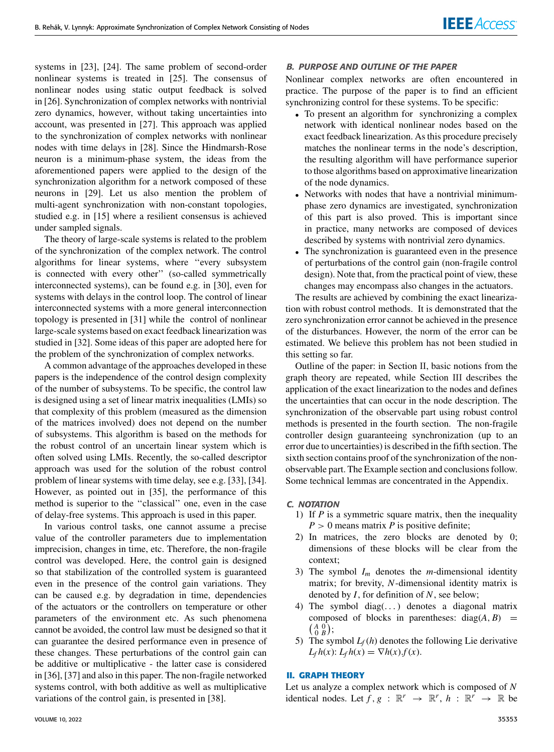systems in [23], [24]. The same problem of second-order nonlinear systems is treated in [25]. The consensus of nonlinear nodes using static output feedback is solved in [26]. Synchronization of complex networks with nontrivial zero dynamics, however, without taking uncertainties into account, was presented in [27]. This approach was applied to the synchronization of complex networks with nonlinear nodes with time delays in [28]. Since the Hindmarsh-Rose neuron is a minimum-phase system, the ideas from the aforementioned papers were applied to the design of the synchronization algorithm for a network composed of these neurons in [29]. Let us also mention the problem of multi-agent synchronization with non-constant topologies, studied e.g. in [15] where a resilient consensus is achieved under sampled signals.

The theory of large-scale systems is related to the problem of the synchronization of the complex network. The control algorithms for linear systems, where ''every subsystem is connected with every other'' (so-called symmetrically interconnected systems), can be found e.g. in [30], even for systems with delays in the control loop. The control of linear interconnected systems with a more general interconnection topology is presented in [31] while the control of nonlinear large-scale systems based on exact feedback linearization was studied in [32]. Some ideas of this paper are adopted here for the problem of the synchronization of complex networks.

A common advantage of the approaches developed in these papers is the independence of the control design complexity of the number of subsystems. To be specific, the control law is designed using a set of linear matrix inequalities (LMIs) so that complexity of this problem (measured as the dimension of the matrices involved) does not depend on the number of subsystems. This algorithm is based on the methods for the robust control of an uncertain linear system which is often solved using LMIs. Recently, the so-called descriptor approach was used for the solution of the robust control problem of linear systems with time delay, see e.g. [33], [34]. However, as pointed out in [35], the performance of this method is superior to the ''classical'' one, even in the case of delay-free systems. This approach is used in this paper.

In various control tasks, one cannot assume a precise value of the controller parameters due to implementation imprecision, changes in time, etc. Therefore, the non-fragile control was developed. Here, the control gain is designed so that stabilization of the controlled system is guaranteed even in the presence of the control gain variations. They can be caused e.g. by degradation in time, dependencies of the actuators or the controllers on temperature or other parameters of the environment etc. As such phenomena cannot be avoided, the control law must be designed so that it can guarantee the desired performance even in presence of these changes. These perturbations of the control gain can be additive or multiplicative - the latter case is considered in [36], [37] and also in this paper. The non-fragile networked systems control, with both additive as well as multiplicative variations of the control gain, is presented in [38].

Nonlinear complex networks are often encountered in practice. The purpose of the paper is to find an efficient synchronizing control for these systems. To be specific:

- To present an algorithm for synchronizing a complex network with identical nonlinear nodes based on the exact feedback linearization. As this procedure precisely matches the nonlinear terms in the node's description, the resulting algorithm will have performance superior to those algorithms based on approximative linearization of the node dynamics.
- Networks with nodes that have a nontrivial minimumphase zero dynamics are investigated, synchronization of this part is also proved. This is important since in practice, many networks are composed of devices described by systems with nontrivial zero dynamics.
- The synchronization is guaranteed even in the presence of perturbations of the control gain (non-fragile control design). Note that, from the practical point of view, these changes may encompass also changes in the actuators.

The results are achieved by combining the exact linearization with robust control methods. It is demonstrated that the zero synchronization error cannot be achieved in the presence of the disturbances. However, the norm of the error can be estimated. We believe this problem has not been studied in this setting so far.

Outline of the paper: in Section [II,](#page-1-0) basic notions from the graph theory are repeated, while Section [III](#page-2-0) describes the application of the exact linearization to the nodes and defines the uncertainties that can occur in the node description. The synchronization of the observable part using robust control methods is presented in the fourth section. The non-fragile controller design guaranteeing synchronization (up to an error due to uncertainties) is described in the fifth section. The sixth section contains proof of the synchronization of the nonobservable part. The Example section and conclusions follow. Some technical lemmas are concentrated in the Appendix.

## C. NOTATION

- 1) If *P* is a symmetric square matrix, then the inequality  $P > 0$  means matrix *P* is positive definite;
- 2) In matrices, the zero blocks are denoted by 0; dimensions of these blocks will be clear from the context;
- 3) The symbol  $I_m$  denotes the *m*-dimensional identity matrix; for brevity, *N*-dimensional identity matrix is denoted by *I*, for definition of *N*, see below;
- 4) The symbol diag $(\ldots)$  denotes a diagonal matrix composed of blocks in parentheses:  $diag(A, B)$  =  $\left(\begin{smallmatrix} A & 0 \\ 0 & B \end{smallmatrix}\right);$
- 5) The symbol  $L_f(h)$  denotes the following Lie derivative  $L_f h(x)$ :  $L_f h(x) = \nabla h(x) . f(x)$ .

# <span id="page-1-0"></span>**II. GRAPH THEORY**

Let us analyze a complex network which is composed of *N* identical nodes. Let  $f, g : \mathbb{R}^r \to \mathbb{R}^r$ ,  $h : \mathbb{R}^r \to \mathbb{R}$  be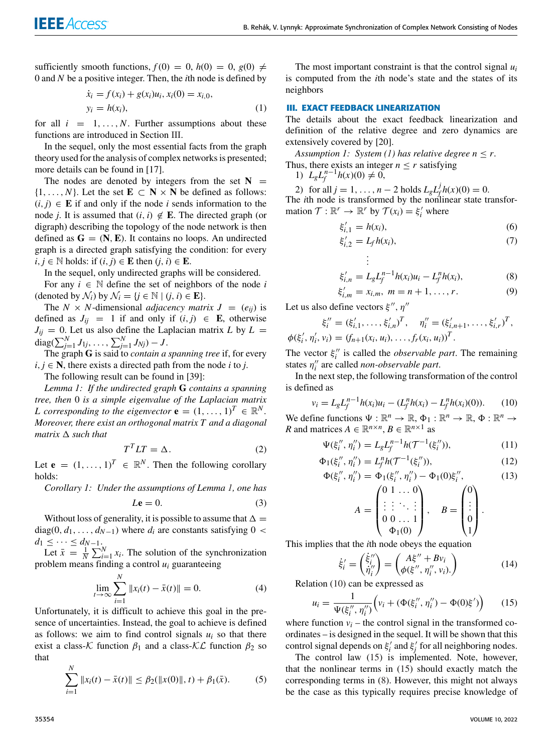sufficiently smooth functions,  $f(0) = 0$ ,  $h(0) = 0$ ,  $g(0) \neq$ 0 and *N* be a positive integer. Then, the *i*th node is defined by

<span id="page-2-2"></span>
$$
\begin{aligned} \dot{x}_i &= f(x_i) + g(x_i)u_i, x_i(0) = x_{i,0}, \\ y_i &= h(x_i), \end{aligned} \tag{1}
$$

for all  $i = 1, \ldots, N$ . Further assumptions about these functions are introduced in Section [III.](#page-2-0)

In the sequel, only the most essential facts from the graph theory used for the analysis of complex networks is presented; more details can be found in [17].

The nodes are denoted by integers from the set  $N =$  $\{1, \ldots, N\}$ . Let the set  $\mathbf{E} \subset \mathbf{N} \times \mathbf{N}$  be defined as follows:  $(i, j) \in \mathbf{E}$  if and only if the node *i* sends information to the node *j*. It is assumed that  $(i, i) \notin \mathbf{E}$ . The directed graph (or digraph) describing the topology of the node network is then defined as  $G = (N, E)$ . It contains no loops. An undirected graph is a directed graph satisfying the condition: for every  $i, j \in \mathbb{N}$  holds: if  $(i, j) \in \mathbb{E}$  then  $(j, i) \in \mathbb{E}$ .

In the sequel, only undirected graphs will be considered.

For any  $i \in \mathbb{N}$  define the set of neighbors of the node *i* (denoted by  $\mathcal{N}_i$ ) by  $\mathcal{N}_i = \{j \in \mathbb{N} \mid (j, i) \in \mathbf{E}\}.$ 

The *N* × *N*-dimensional *adjacency matrix*  $J = (e_{ij})$  is defined as  $J_{ii} = 1$  if and only if  $(i, j) \in E$ , otherwise  $J_{ij} = 0$ . Let us also define the Laplacian matrix *L* by  $L =$  $\text{diag}(\sum_{j=1}^{N} J_{1j}, \ldots, \sum_{j=1}^{N} J_{Nj}) - J.$ 

The graph **G** is said to *contain a spanning tree* if, for every  $i, j \in \mathbb{N}$ , there exists a directed path from the node *i* to *j*.

The following result can be found in [39]:

*Lemma 1: If the undirected graph* **G** *contains a spanning tree, then* 0 *is a simple eigenvalue of the Laplacian matrix L* corresponding to the eigenvector  $\mathbf{e} = (1, \ldots, 1)^T \in \mathbb{R}^N$ . *Moreover, there exist an orthogonal matrix T and a diagonal matrix*  $\Delta$  *such that* 

$$
T^T L T = \Delta. \tag{2}
$$

Let **e** =  $(1, \ldots, 1)^T \in \mathbb{R}^N$ . Then the following corollary holds:

<span id="page-2-7"></span>*Corollary 1: Under the assumptions of Lemma [1,](#page-2-1) one has*

<span id="page-2-6"></span>
$$
L\mathbf{e} = 0.\tag{3}
$$

Without loss of generality, it is possible to assume that  $\Delta =$  $diag(0, d_1, \ldots, d_{N-1})$  where  $d_i$  are constants satisfying  $0 <$  $d_1 \leq \cdots \leq d_{N-1}$ .

Let  $\bar{x} = \frac{1}{N} \sum_{i=1}^{N} x_i$ . The solution of the synchronization problem means finding a control *u<sup>i</sup>* guaranteeing

$$
\lim_{t \to \infty} \sum_{i=1}^{N} \|x_i(t) - \bar{x}(t)\| = 0.
$$
 (4)

Unfortunately, it is difficult to achieve this goal in the presence of uncertainties. Instead, the goal to achieve is defined as follows: we aim to find control signals  $u_i$  so that there exist a class-K function  $\beta_1$  and a class-KL function  $\beta_2$  so that

$$
\sum_{i=1}^{N} \|x_i(t) - \bar{x}(t)\| \le \beta_2(\|x(0)\|, t) + \beta_1(\bar{x}).
$$
 (5)

The most important constraint is that the control signal *u<sup>i</sup>* is computed from the *i*th node's state and the states of its neighbors

#### <span id="page-2-0"></span>**III. EXACT FEEDBACK LINEARIZATION**

The details about the exact feedback linearization and definition of the relative degree and zero dynamics are extensively covered by [20].

*Assumption 1: System [\(1\)](#page-2-2) has relative degree*  $n \leq r$ *.* 

Thus, there exists an integer  $n \leq r$  satisfying

1)  $L_g L_f^{n-1} h(x)(0) \neq 0$ ,

2) for all  $j = 1, ..., n - 2$  holds  $L_g L_f^j$  $f_t^f h(x)(0) = 0.$ 

The *i*th node is transformed by the nonlinear state transformation  $\mathcal{T} : \mathbb{R}^r \to \mathbb{R}^r$  by  $\mathcal{T}(x_i) = \xi'_i$  where

<span id="page-2-5"></span>
$$
\xi'_{i,1} = h(x_i),\tag{6}
$$

$$
\xi'_{i,2} = L_f h(x_i),\tag{7}
$$

$$
\vdots
$$
\n
$$
\xi'_{i,n} = L_g L_f^{n-1} h(x_i) u_i - L_f^n h(x_i),
$$
\n(8)

$$
\xi'_{i,m} = x_{i,m}, \; m = n+1, \ldots, r. \tag{9}
$$

Let us also define vectors 
$$
\xi''
$$
,  $\eta''$ 

$$
\xi_i'' = (\xi_{i,1}', \dots, \xi_{i,n}')^T, \quad \eta_i'' = (\xi_{i,n+1}', \dots, \xi_{i,r}')^T, \n\phi(\xi_i', \eta_i', v_i) = (f_{n+1}(x_i, u_i), \dots, f_r(x_i, u_i))^T.
$$

The vector  $\xi_i''$  is called the *observable part*. The remaining states  $\eta''_i$  are called *non-observable part*.

<span id="page-2-1"></span>In the next step, the following transformation of the control is defined as

<span id="page-2-3"></span>
$$
v_i = L_g L_f^{n-1} h(x_i) u_i - (L_f^n h(x_i) - L_f^n h(x_i)(0)).
$$
 (10)

We define functions  $\Psi : \mathbb{R}^n \to \mathbb{R}, \Phi_1 : \mathbb{R}^n \to \mathbb{R}, \Phi : \mathbb{R}^n \to$ *R* and matrices  $A \in \mathbb{R}^{n \times n}$ ,  $B \in \mathbb{R}^{n \times 1}$  as

$$
\Psi(\xi_i'', \eta_i'') = L_g L_f^{n-1} h(\mathcal{T}^{-1}(\xi_i'')), \qquad (11)
$$

$$
\Phi_1(\xi_i'', \eta_i'') = L_f^n h(\mathcal{T}^{-1}(\xi_i'')), \qquad (12)
$$

$$
\Phi(\xi_i'', \eta_i'') = \Phi_1(\xi_i'', \eta_i'') - \Phi_1(0)\xi_i'', \qquad (13)
$$

$$
A = \begin{pmatrix} 0 & 1 & \dots & 0 \\ \vdots & \vdots & \ddots & \vdots \\ 0 & 0 & \dots & 1 \\ \Phi_1(0) & \end{pmatrix}, \quad B = \begin{pmatrix} 0 \\ \vdots \\ 0 \\ 1 \end{pmatrix}.
$$

This implies that the *i*th node obeys the equation

$$
\dot{\xi}'_i = \begin{pmatrix} \dot{\xi}''_i \\ \dot{\eta}''_i \end{pmatrix} = \begin{pmatrix} A\xi'' + Bv_i \\ \phi(\xi'', \eta''_i, v_i) \end{pmatrix}
$$
(14)

Relation [\(10\)](#page-2-3) can be expressed as

<span id="page-2-4"></span>
$$
u_i = \frac{1}{\Psi(\xi_i'', \eta_i'')} \Big( v_i + (\Phi(\xi_i'', \eta_i'') - \Phi(0)\xi') \Big) \qquad (15)
$$

where function  $v_i$  – the control signal in the transformed coordinates – is designed in the sequel. It will be shown that this control signal depends on  $\xi_i$  and  $\xi_j$  for all neighboring nodes.

The control law [\(15\)](#page-2-4) is implemented. Note, however, that the nonlinear terms in [\(15\)](#page-2-4) should exactly match the corresponding terms in [\(8\)](#page-2-5). However, this might not always be the case as this typically requires precise knowledge of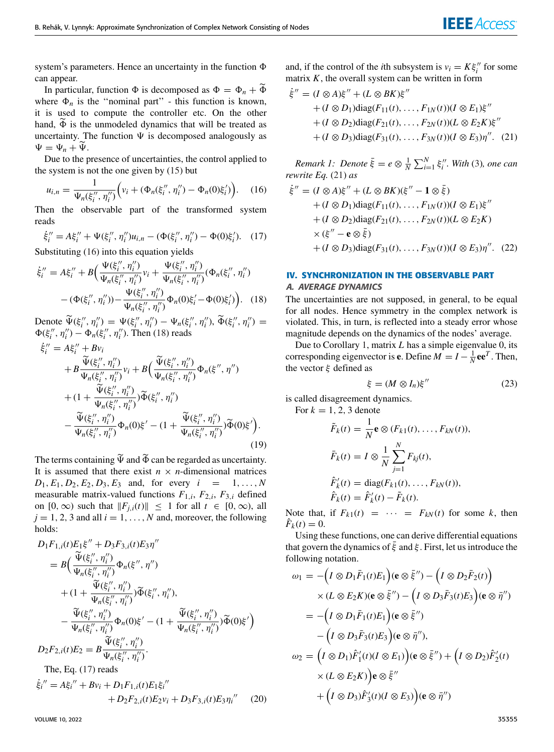system's parameters. Hence an uncertainty in the function  $\Phi$ can appear.

In particular, function  $\Phi$  is decomposed as  $\Phi = \Phi_n + \widetilde{\Phi}$ where  $\Phi_n$  is the "nominal part" - this function is known, it is used to compute the controller etc. On the other hand,  $\widetilde{\Phi}$  is the unmodeled dynamics that will be treated as uncertainty. The function  $\Psi$  is decomposed analogously as  $\Psi = \Psi_n + \widetilde{\Psi}.$ 

Due to the presence of uncertainties, the control applied to the system is not the one given by [\(15\)](#page-2-4) but

<span id="page-3-0"></span>
$$
u_{i,n} = \frac{1}{\Psi_n(\xi_i'', \eta_i'')} \Big( v_i + (\Phi_n(\xi_i'', \eta_i'') - \Phi_n(0)\xi_i') \Big). \quad (16)
$$

Then the observable part of the transformed system reads

<span id="page-3-2"></span>
$$
\dot{\xi}_i'' = A \xi_i'' + \Psi(\xi_i'', \eta_i'') u_{i,n} - (\Phi(\xi_i'', \eta_i'') - \Phi(0)\xi_i'). \quad (17)
$$

Substituting [\(16\)](#page-3-0) into this equation yields

<span id="page-3-1"></span>
$$
\dot{\xi}_i'' = A\xi_i'' + B\Big(\frac{\Psi(\xi_i'', \eta_i'')}{\Psi_n(\xi_i'', \eta_i'')} v_i + \frac{\Psi(\xi_i'', \eta_i'')}{\Psi_n(\xi_i'', \eta_i'')} (\Phi_n(\xi_i'', \eta_i'') - (\Phi(\xi_i'', \eta_i'')) - \frac{\Psi(\xi_i'', \eta_i'')}{\Psi_n(\xi_i'', \eta_i'')} \Phi_n(0)\xi_i' - \Phi(0)\xi_i'\Big).
$$
(18)

Denote  $\widetilde{\Psi}(\xi_i'', \eta_i'') = \Psi(\xi_i'', \eta_i'') - \Psi_n(\xi_i'', \eta_i''), \widetilde{\Phi}(\xi_i'', \eta_i'') =$  $\Phi(\xi''_i, \eta''_i) - \Phi_n(\xi''_i, \eta''_i)$ . Then [\(18\)](#page-3-1) reads

$$
\dot{\xi}''_i = A\xi''_i + Bv_i + B\frac{\tilde{\Psi}(\xi''_i, \eta''_i)}{\Psi_n(\xi''_i, \eta''_i)} v_i + B\Big(\frac{\tilde{\Psi}(\xi''_i, \eta''_i)}{\Psi_n(\xi''_i, \eta''_i)} \Phi_n(\xi'', \eta'') + (1 + \frac{\tilde{\Psi}(\xi''_i, \eta''_i)}{\Psi_n(\xi''_i, \eta''_i)} )\tilde{\Phi}(\xi''_i, \eta''_i) -\frac{\tilde{\Psi}(\xi''_i, \eta''_i)}{\Psi_n(\xi''_i, \eta''_i)} \Phi_n(0)\xi' - (1 + \frac{\tilde{\Psi}(\xi''_i, \eta''_i)}{\Psi_n(\xi''_i, \eta''_i)}) \tilde{\Phi}(0)\xi').
$$
\n(19)

The terms containing  $\widetilde{\Psi}$  and  $\widetilde{\Phi}$  can be regarded as uncertainty. It is assumed that there exist  $n \times n$ -dimensional matrices  $D_1, E_1, D_2, E_2, D_3, E_3$  and, for every  $i = 1, ..., N$ measurable matrix-valued functions  $F_{1,i}$ ,  $F_{2,i}$ ,  $F_{3,i}$  defined on  $[0, \infty)$  such that  $\|F_{j,i}(t)\| \leq 1$  for all  $t \in [0, \infty)$ , all  $j = 1, 2, 3$  and all  $i = 1, \ldots, N$  and, moreover, the following holds:

$$
D_1F_{1,i}(t)E_1\xi'' + D_3F_{3,i}(t)E_3\eta''
$$
  
\n
$$
= B\Big(\frac{\tilde{\Psi}(\xi_i'', \eta_i'')}{\Psi_n(\xi_i'', \eta_i'')} \Phi_n(\xi'', \eta'')
$$
  
\n
$$
+ (1 + \frac{\tilde{\Psi}(\xi_i'', \eta_i'')}{\Psi_n(\xi_i'', \eta_i'')}) \tilde{\Phi}(\xi_i'', \eta_i''),
$$
  
\n
$$
- \frac{\tilde{\Psi}(\xi_i'', \eta_i'')}{\Psi_n(\xi_i'', \eta_i'')} \Phi_n(0)\xi' - (1 + \frac{\tilde{\Psi}(\xi_i'', \eta_i'')}{\Psi_n(\xi_i'', \eta_i'')}) \tilde{\Phi}(0)\xi'\Big)
$$
  
\n
$$
D_2F_{2,i}(t)E_2 = B\frac{\tilde{\Psi}(\xi_i'', \eta_i'')}{\Psi_n(\xi_i'', \eta_i'')}.
$$
  
\nThe, Eq. (17) reads  
\n
$$
\dot{\xi}_i'' = A\xi_i'' + Bv_i + D_1F_{1,i}(t)E_1\xi_i''
$$
  
\n
$$
+ D_2F_{2,i}(t)E_2v_i + D_3F_{3,i}(t)E_3\eta_i''
$$
 (20)

and, if the control of the *i*th subsystem is  $v_i = K \xi''_i$  for some matrix  $K$ , the overall system can be written in form

<span id="page-3-3"></span>
$$
\dot{\xi}'' = (I \otimes A)\xi'' + (L \otimes BK)\xi''
$$
  
+  $(I \otimes D_1)\text{diag}(F_{11}(t), ..., F_{1N}(t))(I \otimes E_1)\xi''$   
+  $(I \otimes D_2)\text{diag}(F_{21}(t), ..., F_{2N}(t))(L \otimes E_2K)\xi''$   
+  $(I \otimes D_3)\text{diag}(F_{31}(t), ..., F_{3N}(t))(I \otimes E_3)\eta''$ . (21)

*Remark 1: Denote*  $\bar{\xi} = e \otimes \frac{1}{N} \sum_{i=1}^{N} \xi_i''$ . With [\(3\)](#page-2-6), one can *rewrite Eq.* [\(21\)](#page-3-3) *as*

<span id="page-3-4"></span>
$$
\dot{\xi}'' = (I \otimes A)\xi'' + (L \otimes BK)(\xi'' - 1 \otimes \bar{\xi})
$$
  
+  $(I \otimes D_1)\text{diag}(F_{11}(t), ..., F_{1N}(t))(I \otimes E_1)\xi''$   
+  $(I \otimes D_2)\text{diag}(F_{21}(t), ..., F_{2N}(t))(L \otimes E_2K)$   
×  $(\xi'' - \mathbf{e} \otimes \bar{\xi})$   
+  $(I \otimes D_3)\text{diag}(F_{31}(t), ..., F_{3N}(t))(I \otimes E_3)\eta''$ . (22)

# <span id="page-3-5"></span>**IV. SYNCHRONIZATION IN THE OBSERVABLE PART** A. AVERAGE DYNAMICS

The uncertainties are not supposed, in general, to be equal for all nodes. Hence symmetry in the complex network is violated. This, in turn, is reflected into a steady error whose magnitude depends on the dynamics of the nodes' average.

Due to Corollary [1,](#page-2-7) matrix *L* has a simple eigenvalue 0, its corresponding eigenvector is **e**. Define  $M = I - \frac{1}{N}$ **ee**<sup>*T*</sup>. Then, the vector  $\xi$  defined as

$$
\xi = (M \otimes I_n)\xi''
$$
 (23)

is called disagreement dynamics.

For  $k = 1, 2, 3$  denote

$$
\tilde{F}_k(t) = \frac{1}{N} \mathbf{e} \otimes (F_{k1}(t), \dots, F_{kN}(t)),
$$
\n
$$
\bar{F}_k(t) = I \otimes \frac{1}{N} \sum_{j=1}^N F_{kj}(t),
$$
\n
$$
\hat{F}'_k(t) = \text{diag}(F_{k1}(t), \dots, F_{kN}(t)),
$$
\n
$$
\hat{F}_k(t) = \hat{F}'_k(t) - \tilde{F}_k(t).
$$

Note that, if  $F_{k1}(t) = \cdots = F_{kN}(t)$  for some k, then  $\hat{F}_k(t) = 0.$ 

Using these functions, one can derive differential equations that govern the dynamics of  $\bar{\xi}$  and  $\xi$ . First, let us introduce the following notation.

$$
\omega_1 = -\left(I \otimes D_1 \bar{F}_1(t)E_1\right)(\mathbf{e} \otimes \bar{\xi}'') - \left(I \otimes D_2 \bar{F}_2(t)\right)
$$
  
\n
$$
\times (L \otimes E_2 K)(\mathbf{e} \otimes \bar{\xi}'') - \left(I \otimes D_3 \bar{F}_3(t)E_3\right)(\mathbf{e} \otimes \bar{\eta}'')
$$
  
\n
$$
= -\left(I \otimes D_1 \bar{F}_1(t)E_1\right)(\mathbf{e} \otimes \bar{\xi}'')
$$
  
\n
$$
- \left(I \otimes D_3 \bar{F}_3(t)E_3\right)(\mathbf{e} \otimes \bar{\eta}'')
$$
  
\n
$$
\omega_2 = \left(I \otimes D_1\right)\hat{F}_1'(t)(I \otimes E_1)\right)(\mathbf{e} \otimes \bar{\xi}'') + \left(I \otimes D_2\right)\hat{F}_2'(t)
$$
  
\n
$$
\times (L \otimes E_2 K)\right)\mathbf{e} \otimes \bar{\xi}''
$$
  
\n
$$
+ \left(I \otimes D_3\right)\hat{F}_3'(t)(I \otimes E_3)\right)(\mathbf{e} \otimes \bar{\eta}'')
$$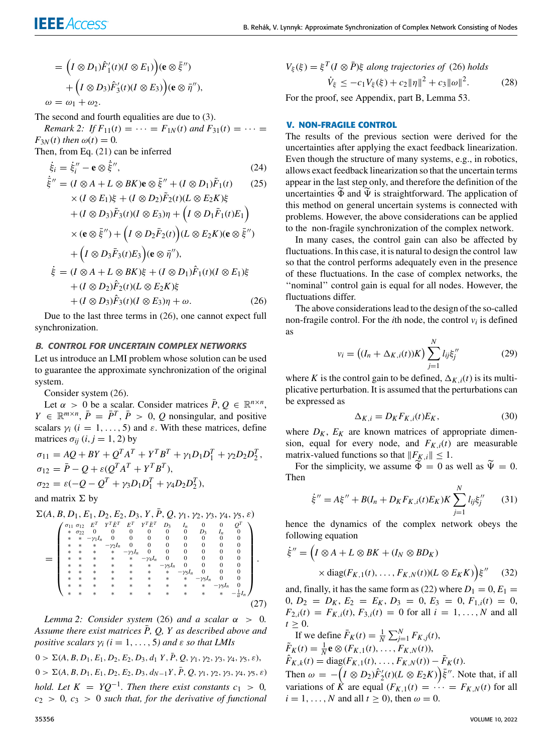$$
= (I \otimes D_1)\hat{F}'_1(t)(I \otimes E_1)(\mathbf{e} \otimes \bar{\xi}'')
$$
  
+ 
$$
(I \otimes D_3)\hat{F}'_3(t)(I \otimes E_3)(\mathbf{e} \otimes \bar{\eta}''),
$$
  

$$
\omega = \omega_1 + \omega_2.
$$

The second and fourth equalities are due to [\(3\)](#page-2-6).

*Remark 2: If*  $F_{11}(t) = \cdots = F_{1N}(t)$  *and*  $F_{31}(t) = \cdots =$  $F_{3N}(t)$  *then*  $\omega(t) = 0$ *.* Then, from Eq. [\(21\)](#page-3-3) can be inferred

<span id="page-4-0"></span>
$$
\dot{\xi}_i = \dot{\xi}_i'' - \mathbf{e} \otimes \dot{\xi}''
$$
\n(24)

$$
\dot{\bar{\xi}}'' = (I \otimes A + L \otimes BK)\mathbf{e} \otimes \bar{\xi}'' + (I \otimes D_1)\tilde{F}_1(t) \qquad (25)
$$

$$
\times (I \otimes E_1)\xi + (I \otimes D_2)\tilde{F}_2(t)(L \otimes E_2K)\xi
$$
  
+ 
$$
(I \otimes D_3)\tilde{F}_3(t)(I \otimes E_3)\eta + (I \otimes D_1\tilde{F}_1(t)E_1)
$$
  

$$
\times (\mathbf{e} \otimes \tilde{\xi}'') + (I \otimes D_2\tilde{F}_2(t))(L \otimes E_2K)(\mathbf{e} \otimes \tilde{\xi}'')
$$
  
+ 
$$
(I \otimes D_3\tilde{F}_3(t)E_3)(\mathbf{e} \otimes \tilde{\eta}''),
$$
  

$$
\dot{\xi} = (I \otimes A + L \otimes BK)\xi + (I \otimes D_1)\hat{F}_1(t)(I \otimes E_1)\xi
$$
  
+ 
$$
(I \otimes D_2)\hat{F}_2(t)(L \otimes E_2K)\xi
$$
  
+ 
$$
(I \otimes D_3)\hat{F}_3(t)(I \otimes E_3)\eta + \omega.
$$
 (26)

Due to the last three terms in [\(26\)](#page-4-0), one cannot expect full synchronization.

#### B. CONTROL FOR UNCERTAIN COMPLEX NETWORKS

Let us introduce an LMI problem whose solution can be used to guarantee the approximate synchronization of the original system.

Consider system [\(26\)](#page-4-0).

Let  $\alpha > 0$  be a scalar. Consider matrices  $\bar{P}, Q \in \mathbb{R}^{n \times n}$ ,  $Y \in \mathbb{R}^{m \times n}$ ,  $\overline{P} = \overline{P}^T$ ,  $\overline{P} > 0$ , *Q* nonsingular, and positive scalars  $\gamma_i$  ( $i = 1, ..., 5$ ) and  $\varepsilon$ . With these matrices, define matrices  $\sigma_{ii}$  (*i*, *j* = 1, 2) by

<span id="page-4-2"></span> $\sigma_{11} = AQ + BY + Q^{T}A^{T} + Y^{T}B^{T} + \gamma_{1}D_{1}D_{1}^{T} + \gamma_{2}D_{2}D_{2}^{T}$ ,  $\sigma_{12} = \bar{P} - Q + \varepsilon (Q^T A^T + Y^T B^T),$  $\sigma_{22} = \varepsilon \left(-Q - Q^T + \gamma_3 D_1 D_1^T + \gamma_4 D_2 D_2^T\right),$ 

and matrix 
$$
\Sigma
$$
 by

$$
\Sigma(A, B, D_1, E_1, D_2, E_2, D_3, Y, \overline{P}, Q, \gamma_1, \gamma_2, \gamma_3, \gamma_4, \gamma_5, \varepsilon)
$$
  

$$
\left(\begin{array}{cccccc}\n\sigma_{11} & \sigma_{12} & E^T & Y^T \overline{E}^T & E^T & Y^T \overline{E}^T & D_3 & I_n & 0 & 0 & Q^T \\
0 & 0 & 0 & 0 & 0 & Q^T\n\end{array}\right)
$$

$$
= \begin{pmatrix}\n\sigma_{11} & \sigma_{12} & E^T & Y^T \bar{E}^T & E^T & Y^T \bar{E}^T & D_3 & I_n & 0 & 0 & Q^T \\
\ast & \sigma_{22} & 0 & 0 & 0 & 0 & 0 & 0 & 0 & 0 \\
\ast & \ast & -\gamma_1 I_n & 0 & 0 & 0 & 0 & 0 & 0 & 0 \\
\ast & \ast & \ast & -\gamma_2 I_n & 0 & 0 & 0 & 0 & 0 & 0 \\
\ast & \ast & \ast & \ast & \ast & -\gamma_3 I_n & 0 & 0 & 0 & 0 & 0 \\
\ast & \ast & \ast & \ast & \ast & \ast & \ast & \ast & -\gamma_5 I_n & 0 & 0 & 0 \\
\ast & \ast & \ast & \ast & \ast & \ast & \ast & \ast & \ast & -\gamma_5 I_n & 0 & 0 & 0 \\
\ast & \ast & \ast & \ast & \ast & \ast & \ast & \ast & \ast & \ast & \ast & -\gamma_5 I_n & 0 \\
\ast & \ast & \ast & \ast & \ast & \ast & \ast & \ast & \ast & \ast & \ast & \ast & \ast\n\end{pmatrix}
$$
\n
$$
(27)
$$

*Lemma* 2: *Consider system* [\(26\)](#page-4-0) *and a scalar*  $\alpha > 0$ *.* Assume there exist matrices P, Q, Y as described above and *positive scalars*  $\gamma_i$  ( $i = 1, \ldots, 5$ ) and  $\varepsilon$  *so that LMIs* 

 $0 > \Sigma(A, B, D_1, E_1, D_2, E_2, D_3, d_1, Y, \overline{P}, Q, \gamma_1, \gamma_2, \gamma_3, \gamma_4, \gamma_5, \varepsilon),$  $0 > \Sigma(A, B, D_1, E_1, D_2, E_2, D_3, d_{N-1}Y, \overline{P}, Q, \gamma_1, \gamma_2, \gamma_3, \gamma_4, \gamma_5, \varepsilon)$ *hold.* Let  $K = YQ^{-1}$ . Then there exist constants  $c_1 > 0$ , *c*<sup>2</sup> > 0*, c*<sup>3</sup> > 0 *such that, for the derivative of functional*

<span id="page-4-1"></span>
$$
V_{\xi}(\xi) = \xi^{T} (I \otimes \overline{P}) \xi \text{ along trajectories of (26) holds}
$$

$$
\dot{V}_{\xi} \le -c_{1} V_{\xi}(\xi) + c_{2} \|\eta\|^{2} + c_{3} \|\omega\|^{2}. \tag{28}
$$

For the proof, see Appendix, part B, Lemma 53.

# **V. NON-FRAGILE CONTROL**

The results of the previous section were derived for the uncertainties after applying the exact feedback linearization. Even though the structure of many systems, e.g., in robotics, allows exact feedback linearization so that the uncertain terms appear in the last step only, and therefore the definition of the uncertainties  $\widetilde{\Phi}$  and  $\widetilde{\Psi}$  is straightforward. The application of this method on general uncertain systems is connected with problems. However, the above considerations can be applied to the non-fragile synchronization of the complex network.

In many cases, the control gain can also be affected by fluctuations. In this case, it is natural to design the control law so that the control performs adequately even in the presence of these fluctuations. In the case of complex networks, the ''nominal'' control gain is equal for all nodes. However, the fluctuations differ.

The above considerations lead to the design of the so-called non-fragile control. For the *i*th node, the control  $v_i$  is defined as

$$
v_i = ((I_n + \Delta_{K,i}(t))K) \sum_{j=1}^{N} l_{ij} \xi_j''
$$
 (29)

where *K* is the control gain to be defined,  $\Delta_{K,i}(t)$  is its multiplicative perturbation. It is assumed that the perturbations can be expressed as

$$
\Delta_{K,i} = D_K F_{K,i}(t) E_K,\tag{30}
$$

where  $D_K$ ,  $E_K$  are known matrices of appropriate dimension, equal for every node, and  $F_{K,i}(t)$  are measurable matrix-valued functions so that  $||F_{K,i}|| \leq 1$ .

For the simplicity, we assume  $\widetilde{\Phi} = 0$  as well as  $\widetilde{\Psi} = 0$ . Then

$$
\dot{\xi}'' = A\xi'' + B(I_n + D_K F_{K,i}(t)E_K)K \sum_{j=1}^{N} l_{ij}\xi_j''
$$
 (31)

hence the dynamics of the complex network obeys the following equation

$$
\dot{\xi}'' = \left(I \otimes A + L \otimes BK + (I_N \otimes BD_K)\right) \times \text{diag}(F_{K,1}(t), \dots, F_{K,N}(t))(L \otimes E_K K)\right)\xi'' \quad (32)
$$

and, finally, it has the same form as [\(22\)](#page-3-4) where  $D_1 = 0$ ,  $E_1 =$ 0,  $D_2 = D_K$ ,  $E_2 = E_K$ ,  $D_3 = 0$ ,  $E_3 = 0$ ,  $F_{1,i}(t) = 0$ ,  $F_{2,i}(t) = F_{K,i}(t), F_{3,i}(t) = 0$  for all  $i = 1, ..., N$  and all  $t > 0$ .

If we define  $\bar{F}_K(t) = \frac{1}{N} \sum_{j=1}^{N} F_{K,j}(t)$ ,  $\tilde{F}_K(t) = \frac{1}{N} \mathbf{e} \otimes (F_{K,1}(t), \ldots, F_{K,N}(t)),$  $\hat{F}_{K,k}(t) = \text{diag}(F_{K,1}(t), \dots, F_{K,N}(t)) - \tilde{F}_K(t).$ Then  $\omega = -\left(I \otimes D_2\right)\hat{F}_2'(t)(L \otimes E_2 K)\right)\bar{\xi}''$ . Note that, if all variations of  $\hat{K}$  are equal  $(F_{K,1}(t)) = \cdots = F_{K,N}(t)$  for all  $i = 1, \ldots, N$  and all  $t \ge 0$ ), then  $\omega = 0$ .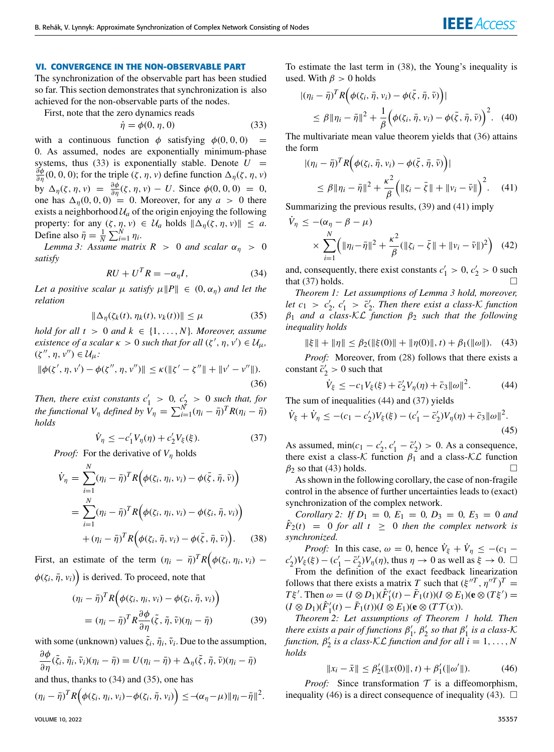# **VI. CONVERGENCE IN THE NON-OBSERVABLE PART**

The synchronization of the observable part has been studied so far. This section demonstrates that synchronization is also achieved for the non-observable parts of the nodes.

First, note that the zero dynamics reads

<span id="page-5-0"></span>
$$
\dot{\eta} = \phi(0, \eta, 0) \tag{33}
$$

with a continuous function  $\phi$  satisfying  $\phi(0, 0, 0)$ 0. As assumed, nodes are exponentially minimum-phase systems, thus [\(33\)](#page-5-0) is exponentially stable. Denote  $U =$  $\frac{\partial \phi}{\partial \eta}$  (0, 0, 0); for the triple  $(\zeta, \eta, v)$  define function  $\Delta_{\eta}(\zeta, \eta, v)$ by  $\Delta_{\eta}(\zeta, \eta, v) = \frac{\partial \phi}{\partial \eta}(\zeta, \eta, v) - U$ . Since  $\phi(0, 0, 0) = 0$ , one has  $\Delta_n(0, 0, 0) = 0$ . Moreover, for any  $a > 0$  there exists a neighborhood  $U_a$  of the origin enjoying the following property: for any  $(\zeta, \eta, v) \in \mathcal{U}_a$  holds  $\|\Delta_{\eta}(\zeta, \eta, v)\| \leq a$ . Define also  $\bar{\eta} = \frac{1}{N} \sum_{i=1}^{N} \eta_i$ .

<span id="page-5-8"></span>*Lemma 3: Assume matrix R > 0 and scalar*  $\alpha_{\eta}$  > 0 *satisfy*

<span id="page-5-1"></span>
$$
RU + U^T R = -\alpha_{\eta}I,\tag{34}
$$

*Let a positive scalar*  $\mu$  *satisfy*  $\mu \|P\| \in (0, \alpha_n)$  *and let the relation*

<span id="page-5-2"></span>
$$
\|\Delta_{\eta}(\zeta_k(t), \eta_k(t), \nu_k(t))\| \le \mu \tag{35}
$$

*hold for all t* > 0 *and*  $k \in \{1, ..., N\}$ *. Moreover, assume existence of a scalar*  $\kappa > 0$  *such that for all*  $(\zeta', \eta, v') \in \mathcal{U}_{\mu}$ ,  $(\zeta'', \eta, v'') \in \mathcal{U}_{\mu}$ :

<span id="page-5-4"></span>
$$
\|\phi(\zeta', \eta, \nu') - \phi(\zeta'', \eta, \nu'')\| \le \kappa(\|\zeta' - \zeta''\| + \|\nu' - \nu''\|).
$$
\n(36)

*Then, there exist constants*  $c'_1 > 0$ ,  $c'_2 > 0$  *such that, for the functional*  $V_{\eta}$  *defined by*  $\hat{V}_{\eta} = \sum_{i=1}^{N} (\eta_i - \bar{\eta})^T R(\eta_i - \bar{\eta})$ *holds*

<span id="page-5-7"></span>
$$
\dot{V}_{\eta} \le -c_1' V_{\eta}(\eta) + c_2' V_{\xi}(\xi). \tag{37}
$$

*Proof:* For the derivative of *V*<sup>η</sup> holds

<span id="page-5-3"></span>
$$
\dot{V}_{\eta} = \sum_{i=1}^{N} (\eta_i - \bar{\eta})^T R \Big( \phi(\zeta_i, \eta_i, v_i) - \phi(\bar{\zeta}, \bar{\eta}, \bar{v}) \Big)
$$
\n
$$
= \sum_{i=1}^{N} (\eta_i - \bar{\eta})^T R \Big( \phi(\zeta_i, \eta_i, v_i) - \phi(\zeta_i, \bar{\eta}, v_i) \Big)
$$
\n
$$
+ (\eta_i - \bar{\eta})^T R \Big( \phi(\zeta_i, \bar{\eta}, v_i) - \phi(\bar{\zeta}, \bar{\eta}, \bar{v}) \Big). \quad (38)
$$

First, an estimate of the term  $(\eta_i - \bar{\eta})^T R \Big( \phi(\zeta_i, \eta_i, v_i) \phi(\zeta_i, \bar{\eta}, v_i)$  is derived. To proceed, note that

<span id="page-5-5"></span>
$$
(\eta_i - \bar{\eta})^T R \Big( \phi(\zeta_i, \eta_i, \nu_i) - \phi(\zeta_i, \bar{\eta}, \nu_i) \Big)
$$
  
= 
$$
(\eta_i - \bar{\eta})^T R \frac{\partial \phi}{\partial \eta} (\tilde{\zeta}, \tilde{\eta}, \tilde{\nu}) (\eta_i - \bar{\eta})
$$
 (39)

with some (unknown) values  $\tilde{\zeta}_i$ ,  $\tilde{\eta}_i$ ,  $\tilde{\nu}_i$ . Due to the assumption,

$$
\frac{\partial \phi}{\partial \eta}(\tilde{\xi}_i, \tilde{\eta}_i, \tilde{\nu}_i)(\eta_i - \bar{\eta}) = U(\eta_i - \bar{\eta}) + \Delta_{\eta}(\tilde{\xi}, \tilde{\eta}, \tilde{\nu})(\eta_i - \bar{\eta})
$$

and thus, thanks to [\(34\)](#page-5-1) and [\(35\)](#page-5-2), one has

$$
(\eta_i - \bar{\eta})^T R \Big( \phi(\zeta_i, \eta_i, v_i) - \phi(\zeta_i, \bar{\eta}, v_i) \Big) \leq -(\alpha_{\eta} - \mu) \|\eta_i - \bar{\eta}\|^2.
$$

To estimate the last term in [\(38\)](#page-5-3), the Young's inequality is used. With  $\beta > 0$  holds

$$
|(\eta_i - \bar{\eta})^T R \Big( \phi(\zeta_i, \bar{\eta}, v_i) - \phi(\bar{\zeta}, \bar{\eta}, \bar{v}) \Big)|
$$
  
\$\leq \beta \| \eta\_i - \bar{\eta} \|^2 + \frac{1}{\beta} \Big( \phi(\zeta\_i, \bar{\eta}, v\_i) - \phi(\bar{\zeta}, \bar{\eta}, \bar{v}) \Big)^2\$. (40)

The multivariate mean value theorem yields that [\(36\)](#page-5-4) attains the form

<span id="page-5-6"></span>
$$
\begin{aligned} |(\eta_i - \bar{\eta})^T R \Big( \phi(\zeta_i, \bar{\eta}, v_i) - \phi(\bar{\zeta}, \bar{\eta}, \bar{v}) \Big) | \\ &\leq \beta \| \eta_i - \bar{\eta} \|^2 + \frac{\kappa^2}{\beta} \Big( \| \zeta_i - \bar{\zeta} \| + \| v_i - \bar{v} \| \Big)^2. \end{aligned} \tag{41}
$$

Summarizing the previous results, [\(39\)](#page-5-5) and [\(41\)](#page-5-6) imply

$$
\dot{V}_{\eta} \leq -(\alpha_{\eta} - \beta - \mu) \n\times \sum_{i=1}^{N} \left( ||\eta_i - \bar{\eta}||^2 + \frac{\kappa^2}{\beta} (||\zeta_i - \bar{\zeta}|| + ||\nu_i - \bar{\nu}||)^2 \right) (42)
$$

and, consequently, there exist constants  $c'_1 > 0$ ,  $c'_2 > 0$  such that [\(37\)](#page-5-7) holds.  $\Box$ 

<span id="page-5-11"></span>*Theorem 1: Let assumptions of Lemma [3](#page-5-8) hold, moreover,* let  $c_1 > c'_2, c'_1 > \overline{c}'_2$ . Then there exist a class-K function β<sup>1</sup> *and a class-*KL *function* β<sup>2</sup> *such that the following inequality holds*

<span id="page-5-10"></span>
$$
\|\xi\| + \|\eta\| \le \beta_2(\|\xi(0)\| + \|\eta(0)\|, t) + \beta_1(\|\omega\|). \tag{43}
$$

*Proof:* Moreover, from [\(28\)](#page-4-1) follows that there exists a constant  $\bar{c}'_2 > 0$  such that

<span id="page-5-9"></span>
$$
\dot{V}_{\xi} \le -c_1 V_{\xi}(\xi) + \bar{c}_2' V_{\eta}(\eta) + \bar{c}_3 \|\omega\|^2. \tag{44}
$$

The sum of inequalities [\(44\)](#page-5-9) and [\(37\)](#page-5-7) yields

$$
\dot{V}_{\xi} + \dot{V}_{\eta} \le -(c_1 - c_2')V_{\xi}(\xi) - (c_1' - \bar{c}_2')V_{\eta}(\eta) + \bar{c}_3||\omega||^2.
$$
\n(45)

As assumed,  $\min(c_1 - c'_2, c'_1 - \bar{c}'_2) > 0$ . As a consequence, there exist a class- $K$  function  $\beta_1$  and a class- $K\mathcal{L}$  function  $\beta_2$  so that [\(43\)](#page-5-10) holds.

As shown in the following corollary, the case of non-fragile control in the absence of further uncertainties leads to (exact) synchronization of the complex network.

*Corollary 2: If*  $D_1 = 0$ ,  $E_1 = 0$ ,  $D_3 = 0$ ,  $E_3 = 0$  *and*  $\hat{F}_2(t) = 0$  *for all t*  $\geq 0$  *then the complex network is synchronized.*

*Proof:* In this case,  $\omega = 0$ , hence  $\dot{V}_{\xi} + \dot{V}_{\eta} \leq -(c_1 - \eta)$  $c'_2)V_{\xi}(\xi) - (c'_1 - \overline{c}'_2)V_{\eta}(\eta)$ , thus  $\eta \to 0$  as well as  $\xi \to 0$ .  $\Box$ From the definition of the exact feedback linearization follows that there exists a matrix *T* such that  $(\xi''^T, \eta''^T)^T$  =

*T* ξ'. Then  $\omega = (I \otimes D_1)(\hat{F}_1'(t) - \bar{F}_1(t))(I \otimes E_1)(e \otimes (T\xi') =$  $(I \otimes D_1)(\hat{F}'_1(t) - \bar{F}_1(t))(I \otimes E_1)(\mathbf{e} \otimes (T\mathcal{T}(x))).$ 

*Theorem 2: Let assumptions of Theorem [1](#page-5-11) hold. Then there exists a pair of functions*  $\beta'_1$ ,  $\beta'_2$  *so that*  $\beta'_1$  *is a class-K*  $f$ unction,  $\beta'_2$  is a class- $\mathcal{KL}$  *function and for all*  $i = 1, ..., N$ *holds*

<span id="page-5-12"></span>
$$
||x_i - \bar{x}|| \le \beta_2'(||x(0)||, t) + \beta_1'(||\omega'||). \tag{46}
$$

*Proof:* Since transformation  $T$  is a diffeomorphism, inequality [\(46\)](#page-5-12) is a direct consequence of inequality [\(43\)](#page-5-10).  $\Box$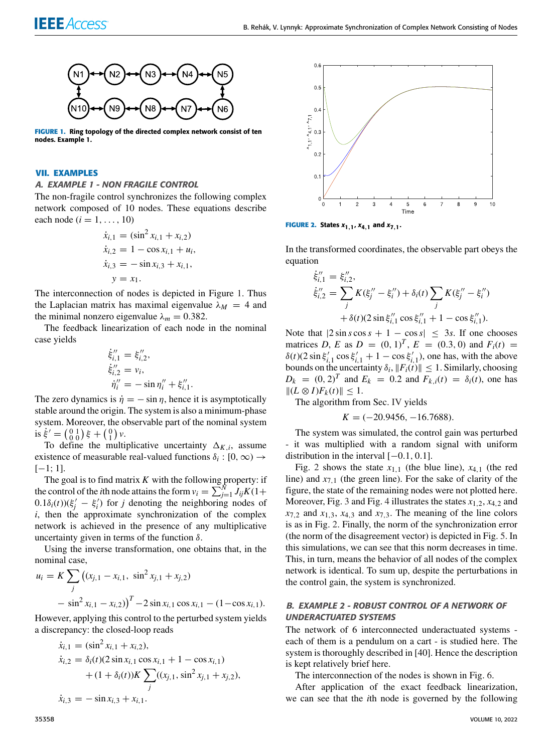

<span id="page-6-0"></span>**FIGURE 1.** Ring topology of the directed complex network consist of ten nodes. Example 1.

#### **VII. EXAMPLES**

#### A. EXAMPLE 1 - NON FRAGILE CONTROL

The non-fragile control synchronizes the following complex network composed of 10 nodes. These equations describe each node  $(i = 1, ..., 10)$ 

$$
\dot{x}_{i,1} = (\sin^2 x_{i,1} + x_{i,2})
$$
\n
$$
\dot{x}_{i,2} = 1 - \cos x_{i,1} + u_i,
$$
\n
$$
\dot{x}_{i,3} = -\sin x_{i,3} + x_{i,1},
$$
\n
$$
y = x_1.
$$

The interconnection of nodes is depicted in Figure [1.](#page-6-0) Thus the Laplacian matrix has maximal eigenvalue  $\lambda_M = 4$  and the minimal nonzero eigenvalue  $\lambda_m = 0.382$ .

The feedback linearization of each node in the nominal case yields

$$
\begin{aligned}\n\dot{\xi}_{i,1}'' &= \xi_{i,2}''',\\ \n\dot{\xi}_{i,2}'' &= v_i,\\ \n\dot{\eta}_i'' &= -\sin \eta_i'' + \xi_{i,1}''.\n\end{aligned}
$$

The zero dynamics is  $\dot{\eta} = -\sin \eta$ , hence it is asymptotically stable around the origin. The system is also a minimum-phase system. Moreover, the observable part of the nominal system is  $\dot{\xi}' = \begin{pmatrix} 0 & 1 \\ 0 & 0 \end{pmatrix} \xi + \begin{pmatrix} 0 \\ 1 \end{pmatrix} v.$ 

To define the multiplicative uncertainty  $\Delta_{K,i}$ , assume existence of measurable real-valued functions  $\delta_i$ : [0,  $\infty$ )  $\rightarrow$  $[-1; 1]$ .

The goal is to find matrix  $K$  with the following property: if the control of the *i*th node attains the form  $v_i = \sum_{j=1}^{N} J_{ij}K(1+i)$  $(0.1\delta_i(t))(\xi_j' - \xi_i')$  for *j* denoting the neighboring nodes of *i*, then the approximate synchronization of the complex network is achieved in the presence of any multiplicative uncertainty given in terms of the function  $\delta$ .

Using the inverse transformation, one obtains that, in the nominal case,

$$
u_i = K \sum_j ((x_{j,1} - x_{i,1}, \sin^2 x_{j,1} + x_{j,2})
$$
  
-  $\sin^2 x_{i,1} - x_{i,2})^T$  - 2  $\sin x_{i,1} \cos x_{i,1}$  - (1 - cos x<sub>i,1</sub>).

However, applying this control to the perturbed system yields a discrepancy: the closed-loop reads

$$
\begin{aligned}\n\dot{x}_{i,1} &= (\sin^2 x_{i,1} + x_{i,2}), \\
\dot{x}_{i,2} &= \delta_i(t)(2\sin x_{i,1}\cos x_{i,1} + 1 - \cos x_{i,1}) \\
&\quad + (1 + \delta_i(t))K \sum_j ((x_{j,1}, \sin^2 x_{j,1} + x_{j,2}), \\
\dot{x}_{i,3} &= -\sin x_{i,3} + x_{i,1}.\n\end{aligned}
$$



<span id="page-6-1"></span>**FIGURE 2.** States  $x_{1,1}$ ,  $x_{4,1}$  and  $x_{7,1}$ .

In the transformed coordinates, the observable part obeys the equation

$$
\dot{\xi}_{i,1}'' = \xi_{i,2}''
$$
\n
$$
\dot{\xi}_{i,2}'' = \sum_{j} K(\xi_j'' - \xi_i'') + \delta_i(t) \sum_{j} K(\xi_j'' - \xi_i'')
$$
\n
$$
+ \delta(t) (2 \sin \xi_{i,1}'' \cos \xi_{i,1}'' + 1 - \cos \xi_{i,1}'').
$$

Note that  $|2 \sin s \cos s + 1 - \cos s| \leq 3s$ . If one chooses matrices *D*, *E* as  $D = (0, 1)^T$ ,  $E = (0.3, 0)$  and  $F_i(t) =$  $\delta(t)$ (2 sin  $\xi'_{i,1}$  cos  $\xi'_{i,1}$  + 1 – cos  $\xi'_{i,1}$ ), one has, with the above bounds on the uncertainty  $\delta_i$ ,  $||F_i(t)|| \leq 1$ . Similarly, choosing  $D_k = (0, 2)^T$  and  $E_k = 0.2$  and  $F_{k,i}(t) = \delta_i(t)$ , one has  $||(L ⊗ I)F<sub>k</sub>(t)|| ≤ 1.$ 

The algorithm from Sec. [IV](#page-3-5) yields

 $K = (-20.9456, -16.7688).$ 

The system was simulated, the control gain was perturbed - it was multiplied with a random signal with uniform distribution in the interval  $[-0.1, 0.1]$ .

Fig. [2](#page-6-1) shows the state  $x_{1,1}$  (the blue line),  $x_{4,1}$  (the red line) and *x*7,<sup>1</sup> (the green line). For the sake of clarity of the figure, the state of the remaining nodes were not plotted here. Moreover, Fig. [3](#page-7-0) and Fig. [4](#page-7-1) illustrates the states  $x_{1,2}$ ,  $x_{4,2}$  and  $x_{7,2}$  and  $x_{1,3}$ ,  $x_{4,3}$  and  $x_{7,3}$ . The meaning of the line colors is as in Fig. [2.](#page-6-1) Finally, the norm of the synchronization error (the norm of the disagreement vector) is depicted in Fig. [5.](#page-7-2) In this simulations, we can see that this norm decreases in time. This, in turn, means the behavior of all nodes of the complex network is identical. To sum up, despite the perturbations in the control gain, the system is synchronized.

## B. EXAMPLE 2 - ROBUST CONTROL OF A NETWORK OF UNDERACTUATED SYSTEMS

The network of 6 interconnected underactuated systems each of them is a pendulum on a cart - is studied here. The system is thoroughly described in [40]. Hence the description is kept relatively brief here.

The interconnection of the nodes is shown in Fig. [6.](#page-7-3)

After application of the exact feedback linearization, we can see that the *i*th node is governed by the following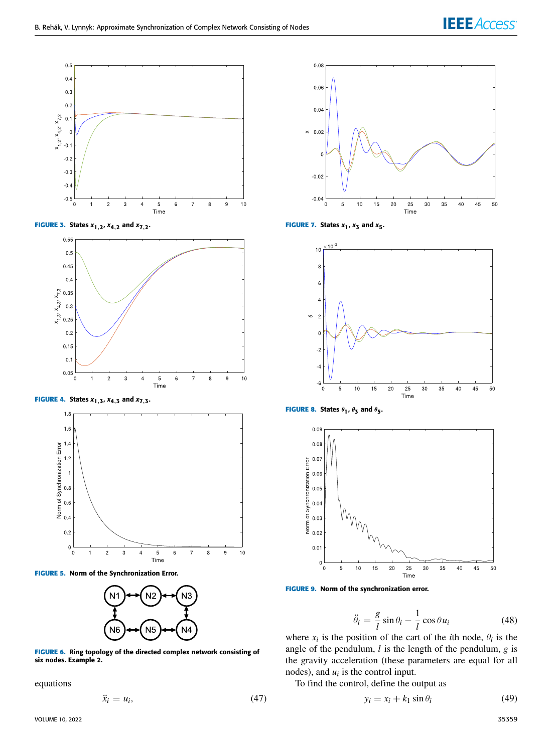



<span id="page-7-0"></span>

**FIGURE 4.** States  $x_{1,3}$ ,  $x_{4,3}$  and  $x_{7,3}$ .

<span id="page-7-1"></span>

<span id="page-7-2"></span>**FIGURE 5.** Norm of the Synchronization Error.



<span id="page-7-3"></span>**FIGURE 6.** Ring topology of the directed complex network consisting of six nodes. Example 2.

equations

$$
\ddot{x}_i = u_i,\tag{47}
$$



**FIGURE 7.** States  $x_1$ ,  $x_3$  and  $x_5$ .

<span id="page-7-4"></span>

**FIGURE 8.** States  $\theta_1$ ,  $\theta_3$  and  $\theta_5$ .

<span id="page-7-5"></span>

<span id="page-7-6"></span>

$$
\ddot{\theta}_i = \frac{g}{l} \sin \theta_i - \frac{1}{l} \cos \theta u_i \tag{48}
$$

where  $x_i$  is the position of the cart of the *i*th node,  $\theta_i$  is the angle of the pendulum, *l* is the length of the pendulum, *g* is the gravity acceleration (these parameters are equal for all nodes), and  $u_i$  is the control input.

To find the control, define the output as

$$
y_i = x_i + k_1 \sin \theta_i \tag{49}
$$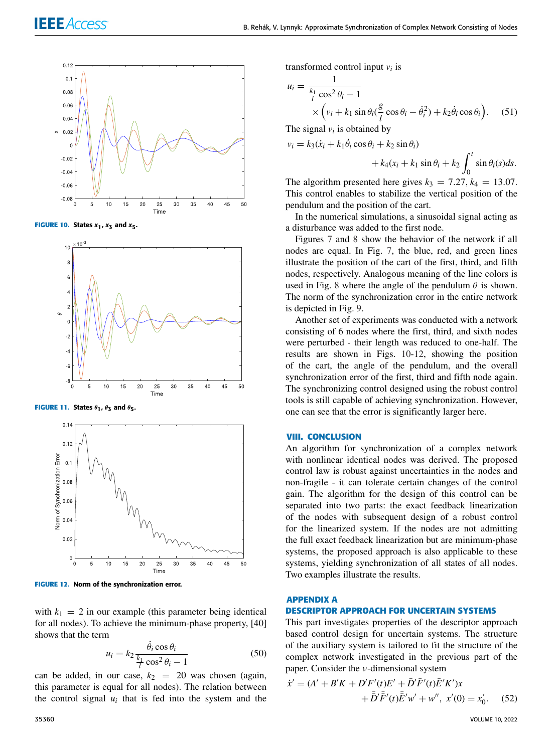

**FIGURE 10.** States  $x_1$ ,  $x_3$  and  $x_5$ .

<span id="page-8-0"></span>

**FIGURE 11.** States  $\theta_1$ ,  $\theta_3$  and  $\theta_5$ .



<span id="page-8-1"></span>**FIGURE 12.** Norm of the synchronization error.

with  $k_1 = 2$  in our example (this parameter being identical for all nodes). To achieve the minimum-phase property, [40] shows that the term

$$
u_i = k_2 \frac{\dot{\theta}_i \cos \theta_i}{\frac{k_1}{l} \cos^2 \theta_i - 1}
$$
 (50)

can be added, in our case,  $k_2$  = 20 was chosen (again, this parameter is equal for all nodes). The relation between the control signal  $u_i$  that is fed into the system and the transformed control input *v<sup>i</sup>* is

$$
u_i = \frac{1}{\frac{k_1}{l}\cos^2\theta_i - 1}
$$
  
 
$$
\times \left(v_i + k_1\sin\theta_i(\frac{g}{l}\cos\theta_i - \dot{\theta}_i^2) + k_2\dot{\theta}_i\cos\theta_i\right).
$$
 (51)

The signal  $v_i$  is obtained by

$$
v_i = k_3(\dot{x}_i + k_1\dot{\theta}_i\cos\theta_i + k_2\sin\theta_i) + k_4(x_i + k_1\sin\theta_i + k_2\int_0^t \sin\theta_i(s)ds.
$$

The algorithm presented here gives  $k_3 = 7.27$ ,  $k_4 = 13.07$ . This control enables to stabilize the vertical position of the pendulum and the position of the cart.

In the numerical simulations, a sinusoidal signal acting as a disturbance was added to the first node.

Figures [7](#page-7-4) and [8](#page-7-5) show the behavior of the network if all nodes are equal. In Fig. [7,](#page-7-4) the blue, red, and green lines illustrate the position of the cart of the first, third, and fifth nodes, respectively. Analogous meaning of the line colors is used in Fig. [8](#page-7-5) where the angle of the pendulum  $\theta$  is shown. The norm of the synchronization error in the entire network is depicted in Fig. [9.](#page-7-6)

Another set of experiments was conducted with a network consisting of 6 nodes where the first, third, and sixth nodes were perturbed - their length was reduced to one-half. The results are shown in Figs. [10-](#page-8-0)[12,](#page-8-1) showing the position of the cart, the angle of the pendulum, and the overall synchronization error of the first, third and fifth node again. The synchronizing control designed using the robust control tools is still capable of achieving synchronization. However, one can see that the error is significantly larger here.

#### **VIII. CONCLUSION**

An algorithm for synchronization of a complex network with nonlinear identical nodes was derived. The proposed control law is robust against uncertainties in the nodes and non-fragile - it can tolerate certain changes of the control gain. The algorithm for the design of this control can be separated into two parts: the exact feedback linearization of the nodes with subsequent design of a robust control for the linearized system. If the nodes are not admitting the full exact feedback linearization but are minimum-phase systems, the proposed approach is also applicable to these systems, yielding synchronization of all states of all nodes. Two examples illustrate the results.

#### **APPENDIX A**

## **DESCRIPTOR APPROACH FOR UNCERTAIN SYSTEMS**

This part investigates properties of the descriptor approach based control design for uncertain systems. The structure of the auxiliary system is tailored to fit the structure of the complex network investigated in the previous part of the paper. Consider the ν-dimensional system

<span id="page-8-2"></span>
$$
\dot{x}' = (A' + B'K + D'F'(t)E' + \bar{D}'\bar{F}'(t)\bar{E}'K')x \n+ \bar{D}'\bar{F}'(t)\bar{E}'w' + w'', \ x'(0) = x'_0.
$$
\n(52)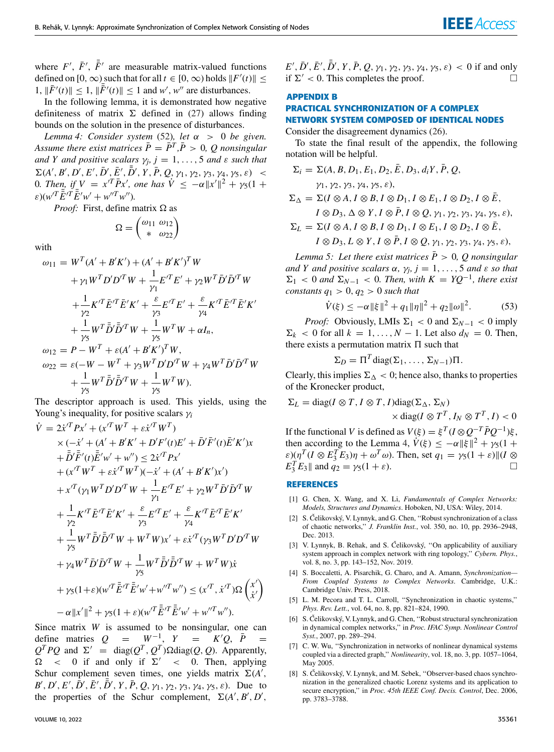where  $F'$ ,  $\bar{F}'$ ,  $\bar{F}'$  are measurable matrix-valued functions defined on  $[0, \infty)$  such that for all  $t \in [0, \infty)$  holds  $||F'(t)|| \le$ 1,  $\|\bar{F}'(t)\| \le 1$ ,  $\|\bar{F}'(t)\| \le 1$  and *w'*, *w''* are disturbances.

In the following lemma, it is demonstrated how negative definiteness of matrix  $\Sigma$  defined in [\(27\)](#page-4-2) allows finding bounds on the solution in the presence of disturbances.

<span id="page-9-0"></span>*Lemma 4: Consider system* [\(52\)](#page-8-2), let  $\alpha > 0$  be given. *Assume there exist matrices*  $\overline{P} = \overline{P}^T$ ,  $\overline{P} > 0$ , Q nonsingular *and Y and positive scalars*  $\gamma_j$ ,  $j = 1, \ldots, 5$  *and*  $\varepsilon$  *such that*  $\Sigma(A', B', D', E', \bar{D}', \bar{E}', \bar{D}', Y, \bar{P}, Q, \gamma_1, \gamma_2, \gamma_3, \gamma_4, \gamma_5, \varepsilon)$  < 0*. Then, if*  $V = x^{T} \bar{P} x'$ , one has  $\dot{V} \le -\alpha ||x'||^{2} + \gamma_{5}(1 + \alpha)$  $\varepsilon$ )( $w^{\prime T} \bar{\vec{E}}^{\prime T} \bar{\vec{E}}^{\prime} w^{\prime} + w^{\prime \prime T} w^{\prime \prime}$ ).

*Proof:* First, define matrix  $\Omega$  as

$$
\Omega = \begin{pmatrix} \omega_{11} & \omega_{12} \\ * & \omega_{22} \end{pmatrix}
$$

with

$$
\omega_{11} = W^{T}(A' + B'K') + (A' + B'K')^{T}W
$$
  
+  $\gamma_{1}W^{T}D'D'^{T}W + \frac{1}{\gamma_{1}}E'^{T}E' + \gamma_{2}W^{T}\bar{D}'\bar{D}'^{T}W$   
+  $\frac{1}{\gamma_{2}}K'^{T}\bar{E}^{T}\bar{E}'K' + \frac{\varepsilon}{\gamma_{3}}E'^{T}E' + \frac{\varepsilon}{\gamma_{4}}K'^{T}\bar{E}'^{T}\bar{E}'K'$   
+  $\frac{1}{\gamma_{5}}W^{T}\bar{D}'\bar{D}'^{T}W + \frac{1}{\gamma_{5}}W^{T}W + \alpha I_{n},$   
 $\omega_{12} = P - W^{T} + \varepsilon (A' + B'K')^{T}W,$   
 $\omega_{22} = \varepsilon (-W - W^{T} + \gamma_{3}W^{T}D'D'^{T}W + \gamma_{4}W^{T}\bar{D}'\bar{D}'^{T}W$   
+  $\frac{1}{\gamma_{5}}W^{T}\bar{D}'\bar{D}'^{T}W + \frac{1}{\gamma_{5}}W^{T}W).$ 

The descriptor approach is used. This yields, using the Young's inequality, for positive scalars γ*<sup>i</sup>*

$$
\dot{V} = 2\dot{x}'^T P x' + (x'^T W^T + \varepsilon \dot{x}'^T W^T) \n\times (-\dot{x}' + (A' + B'K' + D'F'(t)E' + \bar{D}'\bar{F}'(t)\bar{E}'K')x \n+ \bar{D}'\bar{F}'(t)\bar{E}'w' + w'') \leq 2\dot{x}'^T P x' \n\t\t\t+ (x'^T W^T + \varepsilon \dot{x}'^T W^T)(-\dot{x}' + (A' + B'K')x') \n\t\t\t+ x'^T (\gamma_1 W^T D'D'^T W + \frac{1}{\gamma_1} E'^T E' + \gamma_2 W^T \bar{D}' \bar{D}'^T W \n\t\t+ \frac{1}{\gamma_2} K'^T \bar{E}'^T \bar{E}' K' + \frac{\varepsilon}{\gamma_3} E'^T E' + \frac{\varepsilon}{\gamma_4} K'^T \bar{E}'^T \bar{E}' K' \n\t\t+ \frac{1}{\gamma_5} W^T \bar{D}' \bar{D}'^T W + W^T W) x' + \varepsilon \dot{x}'^T (\gamma_3 W^T D'D'^T W \n\t\t+ \gamma_4 W^T \bar{D}' \bar{D}'^T W + \frac{1}{\gamma_5} W^T \bar{D}' \bar{D}^T W + W^T W) \dot{x} \n\t\t+ \gamma_5 (1+\varepsilon)(w'^T \bar{E}'^T \bar{E}'w' + w''^T w'') \leq (x'^T, \dot{x}'^T) \Omega \begin{pmatrix} x' \\ \dot{x}' \end{pmatrix} \n- \alpha ||x'||^2 + \gamma_5 (1+\varepsilon)(w'^T \bar{E}'^T \bar{E}'w' + w''^T w'').
$$

Since matrix *W* is assumed to be nonsingular, one can define matries  $Q = W^{-1}$ ,  $Y = K'Q$ ,  $\bar{P} =$  $Q^T P Q$  and  $\Sigma' = \text{diag}(Q^T, Q^T) \Omega \text{diag}(Q, Q)$ . Apparently,  $\Omega$  < 0 if and only if  $\Sigma'$  < 0. Then, applying Schur complement seven times, one yields matrix  $\Sigma(A)$ , *B*<sup> $\prime$ </sup>, *D*<sup> $\prime$ </sup>, *E*<sup> $\prime$ </sup>,  $\bar{D}$ <sup> $\prime$ </sup>,  $\bar{D}$ <sup> $\prime$ </sup>,  $\bar{Y}$ ,  $\bar{P}$ ,  $Q$ ,  $\gamma_1$ ,  $\gamma_2$ ,  $\gamma_3$ ,  $\gamma_4$ ,  $\gamma_5$ ,  $\varepsilon$ ). Due to the properties of the Schur complement,  $\Sigma(A', B', D',$ 

 $E', \bar{D}', \bar{E}', \bar{\bar{D}}', Y, \bar{P}, Q, \gamma_1, \gamma_2, \gamma_3, \gamma_4, \gamma_5, \varepsilon) < 0$  if and only if  $\Sigma' < 0$ . This completes the proof.

# **APPENDIX B**

# **PRACTICAL SYNCHRONIZATION OF A COMPLEX NETWORK SYSTEM COMPOSED OF IDENTICAL NODES**

Consider the disagreement dynamics [\(26\)](#page-4-0).

To state the final result of the appendix, the following notation will be helpful.

$$
\Sigma_i = \Sigma(A, B, D_1, E_1, D_2, \overline{E}, D_3, d_iY, \overline{P}, Q,
$$
  
\n
$$
\gamma_1, \gamma_2, \gamma_3, \gamma_4, \gamma_5, \varepsilon),
$$
  
\n
$$
\Sigma_{\Delta} = \Sigma(I \otimes A, I \otimes B, I \otimes D_1, I \otimes E_1, I \otimes D_2, I \otimes \overline{E},
$$
  
\n
$$
I \otimes D_3, \Delta \otimes Y, I \otimes \overline{P}, I \otimes Q, \gamma_1, \gamma_2, \gamma_3, \gamma_4, \gamma_5, \varepsilon),
$$
  
\n
$$
\Sigma_L = \Sigma(I \otimes A, I \otimes B, I \otimes D_1, I \otimes E_1, I \otimes D_2, I \otimes \overline{E},
$$
  
\n
$$
I \otimes D_3, L \otimes Y, I \otimes \overline{P}, I \otimes Q, \gamma_1, \gamma_2, \gamma_3, \gamma_4, \gamma_5, \varepsilon),
$$

*Lemma 5: Let there exist matrices*  $\bar{P} > 0$ , Q nonsingular *and Y* and positive scalars  $\alpha$ ,  $\gamma_j$ ,  $j = 1, \ldots, 5$  and  $\varepsilon$  so that  $\Sigma_1$  < 0 and  $\Sigma_{N-1}$  < 0. Then, with  $K = YQ^{-1}$ , there exist *constants*  $q_1 > 0$ ,  $q_2 > 0$  *such that* 

$$
\dot{V}(\xi) \le -\alpha \|\xi\|^2 + q_1 \|\eta\|^2 + q_2 \|\omega\|^2. \tag{53}
$$

*Proof:* Obviously, LMIs  $\Sigma_1 < 0$  and  $\Sigma_{N-1} < 0$  imply  $\Sigma_k$  < 0 for all  $k = 1, ..., N - 1$ . Let also  $d_N = 0$ . Then, there exists a permutation matrix  $\Pi$  such that

$$
\Sigma_D = \Pi^T \text{diag}(\Sigma_1, \ldots, \Sigma_{N-1}) \Pi.
$$

Clearly, this implies  $\Sigma_{\Lambda} < 0$ ; hence also, thanks to properties of the Kronecker product,

$$
\Sigma_L = \text{diag}(I \otimes T, I \otimes T, I) \text{diag}(\Sigma_{\Delta}, \Sigma_N)
$$
  
 
$$
\times \text{diag}(I \otimes T^T, I_N \otimes T^T, I) < 0
$$
  
If the functional V is defined as  $V(\varepsilon) = \varepsilon^T (I \otimes O^{-T} \bar{P} O^{-1}) \varepsilon$ 

If the functional *V* is defined as  $V(\xi) = \xi^T (I \otimes Q^{-T} \overline{P} Q^{-1}) \xi$ , then according to the Lemma [4,](#page-9-0)  $\dot{V}(\xi) \le -\alpha ||\xi||^2 + \gamma_5(1 +$  $\varepsilon$ )( $\eta^T (I \otimes E_3^T E_3) \eta + \omega^T \omega$ ). Then, set  $q_1 = \gamma_5 (1 + \varepsilon) || (I \otimes$ *E*<sub>3</sub><sup>T</sup> *E*<sub>3</sub>|| and *q*<sub>2</sub> =  $\gamma$ <sub>5</sub>(1 +  $\varepsilon$ ).

#### **REFERENCES**

- [1] G. Chen, X. Wang, and X. Li, *Fundamentals of Complex Networks: Models, Structures and Dynamics*. Hoboken, NJ, USA: Wiley, 2014.
- [2] S. Čelikovský, V. Lynnyk, and G. Chen, ''Robust synchronization of a class of chaotic networks,'' *J. Franklin Inst.*, vol. 350, no. 10, pp. 2936–2948, Dec. 2013.
- [3] V. Lynnyk, B. Rehak, and S. Čelikovský, ''On applicability of auxiliary system approach in complex network with ring topology,'' *Cybern. Phys.*, vol. 8, no. 3, pp. 143–152, Nov. 2019.
- [4] S. Boccaletti, A. Pisarchik, G. Charo, and A. Amann, *Synchronization— From Coupled Systems to Complex Networks*. Cambridge, U.K.: Cambridge Univ. Press, 2018.
- [5] L. M. Pecora and T. L. Carroll, ''Synchronization in chaotic systems,'' *Phys. Rev. Lett.*, vol. 64, no. 8, pp. 821–824, 1990.
- [6] S. Čelikovský, V. Lynnyk, and G. Chen, ''Robust structural synchronization in dynamical complex networks,'' in *Proc. IFAC Symp. Nonlinear Control Syst.*, 2007, pp. 289–294.
- [7] C. W. Wu, ''Synchronization in networks of nonlinear dynamical systems coupled via a directed graph,'' *Nonlinearity*, vol. 18, no. 3, pp. 1057–1064, May 2005.
- [8] S. Čelikovský, V. Lynnyk, and M. Sebek, ''Observer-based chaos synchronization in the generalized chaotic Lorenz systems and its application to secure encryption,'' in *Proc. 45th IEEE Conf. Decis. Control*, Dec. 2006, pp. 3783–3788.